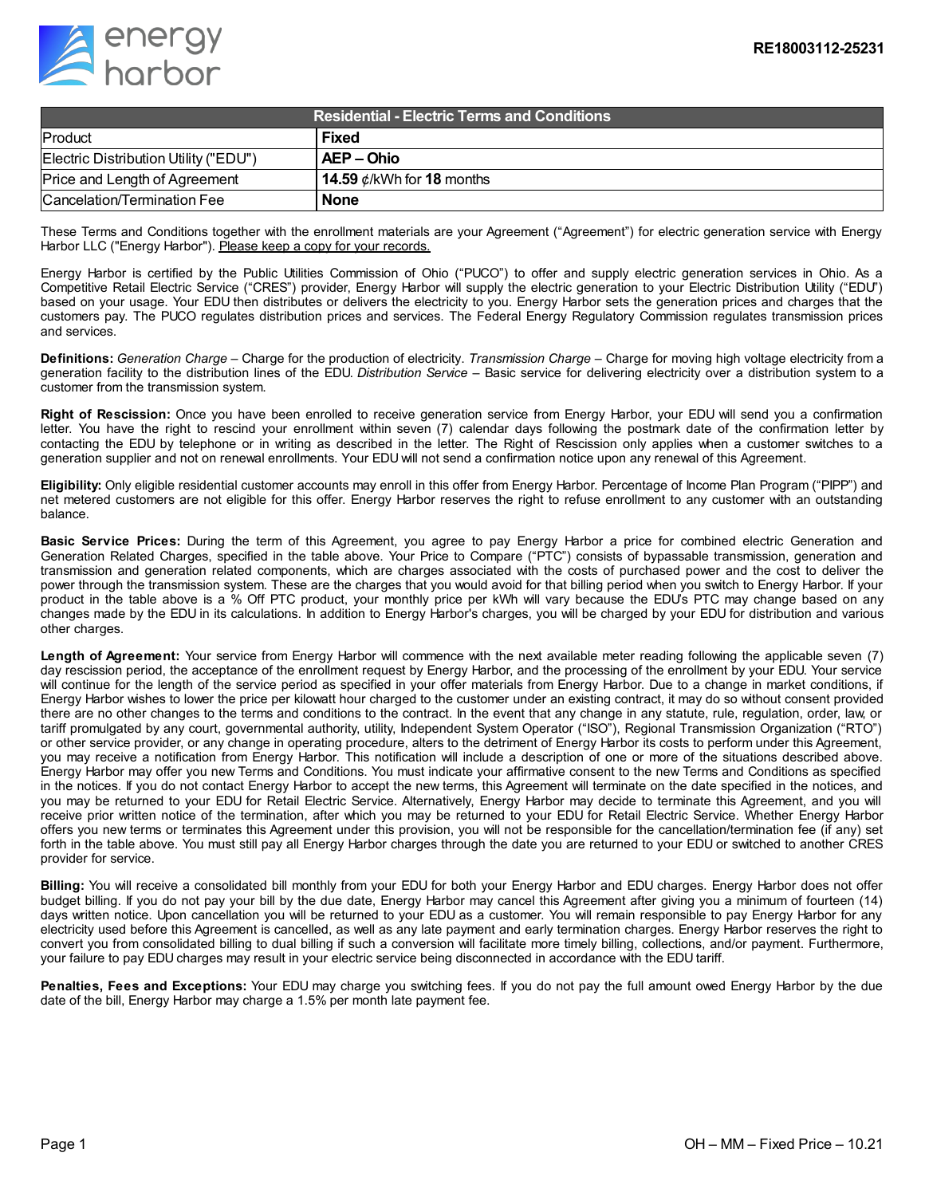

| Residential - Electric Terms and Conditions . |                                 |
|-----------------------------------------------|---------------------------------|
| Product                                       | <b>Fixed</b>                    |
| Electric Distribution Utility ("EDU")         | AEP – Ohio                      |
| Price and Length of Agreement                 | 14.59 $\phi$ /kWh for 18 months |
| Cancelation/Termination Fee                   | <b>None</b>                     |

These Terms and Conditions together with the enrollment materials are your Agreement ("Agreement") for electric generation service with Energy Harbor LLC ("Energy Harbor"). Please keep a copy for your records.

Energy Harbor is certified by the Public Utilities Commission of Ohio ("PUCO") to offer and supply electric generation services in Ohio. As a Competitive Retail Electric Service ("CRES") provider, Energy Harbor will supply the electric generation to your Electric Distribution Utility ("EDU") based on your usage. Your EDU then distributes or delivers the electricity to you. Energy Harbor sets the generation prices and charges that the customers pay. The PUCO regulates distribution prices and services. The Federal Energy Regulatory Commission regulates transmission prices and services.

**Definitions:** *Generation Charge* – Charge for the production of electricity. *Transmission Charge* – Charge for moving high voltage electricity from a generation facility to the distribution lines of the EDU. *Distribution Service* – Basic service for delivering electricity over a distribution system to a customer from the transmission system.

**Right of Rescission:** Once you have been enrolled to receive generation service from Energy Harbor, your EDU will send you a confirmation letter. You have the right to rescind your enrollment within seven (7) calendar days following the postmark date of the confirmation letter by contacting the EDU by telephone or in writing as described in the letter. The Right of Rescission only applies when a customer switches to a generation supplier and not on renewal enrollments. Your EDU will not send a confirmation notice upon any renewal of this Agreement.

**Eligibility:** Only eligible residential customer accounts may enroll in this offer from Energy Harbor. Percentage of Income Plan Program ("PIPP") and net metered customers are not eligible for this offer. Energy Harbor reserves the right to refuse enrollment to any customer with an outstanding balance.

**Basic Service Prices:** During the term of this Agreement, you agree to pay Energy Harbor a price for combined electric Generation and Generation Related Charges, specified in the table above. Your Price to Compare ("PTC") consists of bypassable transmission, generation and transmission and generation related components, which are charges associated with the costs of purchased power and the cost to deliver the power through the transmission system. These are the charges that you would avoid for that billing period when you switch to Energy Harbor. If your product in the table above is a % Off PTC product, your monthly price per kWh will vary because the EDU's PTC may change based on any changes made by the EDU in its calculations. In addition to Energy Harbor's charges, you will be charged by your EDU for distribution and various other charges.

**Length of Agreement:** Your service from Energy Harbor will commence with the next available meter reading following the applicable seven (7) day rescission period, the acceptance of the enrollment request by Energy Harbor, and the processing of the enrollment by your EDU. Your service will continue for the length of the service period as specified in your offer materials from Energy Harbor. Due to a change in market conditions, if Energy Harbor wishes to lower the price per kilowatt hour charged to the customer under an existing contract, it may do so without consent provided there are no other changes to the terms and conditions to the contract. In the event that any change in any statute, rule, regulation, order, law, or tariff promulgated by any court, governmental authority, utility, Independent System Operator ("ISO"), Regional Transmission Organization ("RTO") or other service provider, or any change in operating procedure, alters to the detriment of Energy Harbor its costs to perform under this Agreement, you may receive a notification from Energy Harbor. This notification will include a description of one or more of the situations described above. Energy Harbor may offer you new Terms and Conditions. You must indicate your affirmative consent to the new Terms and Conditions as specified in the notices. If you do not contact Energy Harbor to accept the new terms, this Agreement will terminate on the date specified in the notices, and you may be returned to your EDU for Retail Electric Service. Alternatively, Energy Harbor may decide to terminate this Agreement, and you will receive prior written notice of the termination, after which you may be returned to your EDU for Retail Electric Service. Whether Energy Harbor offers you new terms or terminates this Agreement under this provision, you will not be responsible for the cancellation/termination fee (if any) set forth in the table above. You must still pay all Energy Harbor charges through the date you are returned to your EDU or switched to another CRES provider for service.

**Billing:** You will receive a consolidated bill monthly from your EDU for both your Energy Harbor and EDU charges. Energy Harbor does not offer budget billing. If you do not pay your bill by the due date, Energy Harbor may cancel this Agreement after giving you a minimum of fourteen (14) days written notice. Upon cancellation you will be returned to your EDU as a customer. You will remain responsible to pay Energy Harbor for any electricity used before this Agreement is cancelled, as well as any late payment and early termination charges. Energy Harbor reserves the right to convert you from consolidated billing to dual billing if such a conversion will facilitate more timely billing, collections, and/or payment. Furthermore, your failure to pay EDU charges may result in your electric service being disconnected in accordance with the EDU tariff.

**Penalties, Fees and Exceptions:** Your EDU may charge you switching fees. If you do not pay the full amount owed Energy Harbor by the due date of the bill, Energy Harbor may charge a 1.5% per month late payment fee.